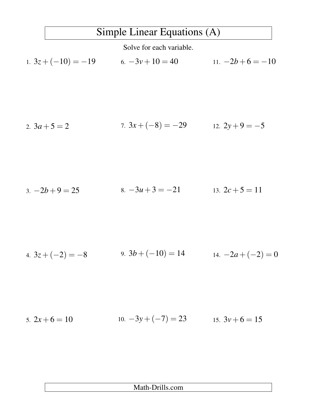## Simple Linear Equations (A)

Solve for each variable.

1.  $3z + (-10) = -19$  6.  $-3v + 10 = 40$ 11.  $-2b+6 = -10$ 

2. 
$$
3a+5=2
$$
 7.  $3x+(-8)=-29$  12.  $2y+9=-5$ 

3. 
$$
-2b+9=25
$$
 8.  $-3u+3=-21$  13.  $2c+5=11$ 

4. 
$$
3z + (-2) = -8
$$
 9.  $3b + (-10) = 14$  14.  $-2a + (-2) = 0$ 

5. 
$$
2x + 6 = 10
$$
 10.  $-3y + (-7) = 23$  15.  $3y + 6 = 15$